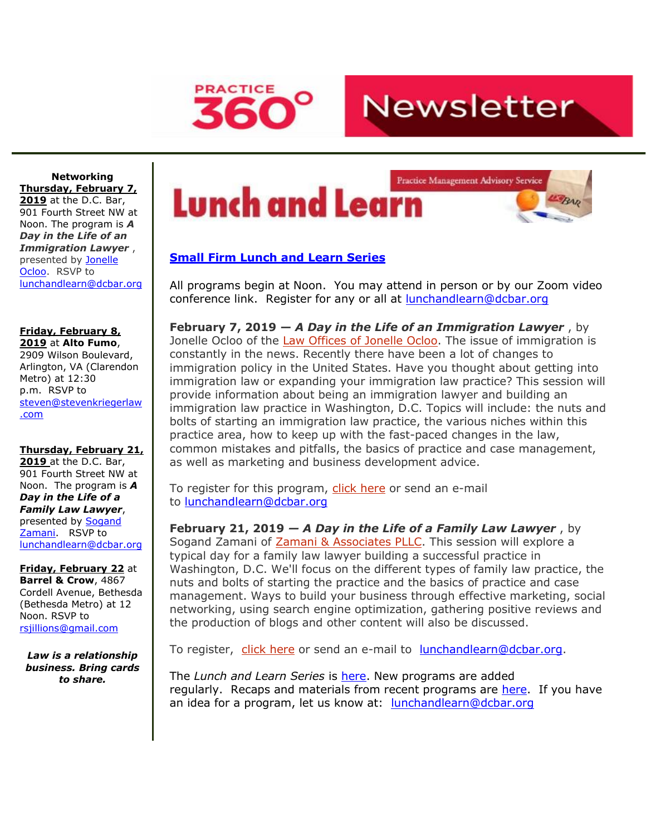

**Newsletter** 

**Networking Thursday, February 7, 2019** at the D.C. Bar, 901 Fourth Street NW at Noon. The program is *A Day in the Life of an Immigration Lawyer* , presented by **Jonelle** [Ocloo.](http://www.mmsend31.com/link.cfm?r=Ng_MTS5ZsMbjM5R-T_-IwQ~~&pe=dE9ptSpx6AwfyxSFEzz_xizEZv0pnIv3zUF3cks8DblG2cbosWEEmaPykEtOl-rRfp5K2iZ4x4KczblYjH7Xuw~~&t=NC5L1yuIg3D3TLu-pPzruQ~~) RSVP to [lunchandlearn@dcbar.org](mailto:lunchandlearn@dcbar.org)

#### **Friday, February 8, 2019** at **Alto Fumo**,

2909 Wilson Boulevard, Arlington, VA (Clarendon Metro) at 12:30 p.m. RSVP to [steven@stevenkriegerlaw](mailto:steven@stevenkriegerlaw.com) [.com](mailto:steven@stevenkriegerlaw.com)

### **Thursday, February 21,**

**2019** at the D.C. Bar, 901 Fourth Street NW at Noon. The program is *A Day in the Life of a Family Law Lawyer*, presented by [Sogand](http://www.mmsend31.com/link.cfm?r=Ng_MTS5ZsMbjM5R-T_-IwQ~~&pe=xr7B8fn9oUxeTpM9zNJMj5lg1qtPVPCI08kMKMUgUAW_6c6WoZ029eFxrIB4y1_fdYps7FL1JlOIleOvt3OZRw~~&t=NC5L1yuIg3D3TLu-pPzruQ~~)  [Zamani.](http://www.mmsend31.com/link.cfm?r=Ng_MTS5ZsMbjM5R-T_-IwQ~~&pe=xr7B8fn9oUxeTpM9zNJMj5lg1qtPVPCI08kMKMUgUAW_6c6WoZ029eFxrIB4y1_fdYps7FL1JlOIleOvt3OZRw~~&t=NC5L1yuIg3D3TLu-pPzruQ~~) RSVP to [lunchandlearn@dcbar.org](mailto:lunchandlearn@dcbar.org)

**Friday, February 22** at **Barrel & Crow**, 4867 Cordell Avenue, Bethesda (Bethesda Metro) at 12 Noon. RSVP to [rsjillions@gmail.com](mailto:rsjillions@gmail.com)

*Law is a relationship business. Bring cards to share.*

# Lunch and Learn



## **[Small Firm Lunch](http://www.mmsend31.com/link.cfm?r=Ng_MTS5ZsMbjM5R-T_-IwQ~~&pe=u-GbBWqB979rOGVpCDKdH39Ymm_ohIJwdUEQLCEdj8Jxh4702yiCH9EdWeAz58uz6kfiDVFJu0ucTwqDJd8XTA~~&t=NC5L1yuIg3D3TLu-pPzruQ~~) and Learn Series**

All programs begin at Noon. You may attend in person or by our Zoom video conference link. Register for any or all at [lunchandlearn@dcbar.org](mailto:lunchandlearn@dcbar.org)

**February 7, 2019 —** *A Day in the Life of an Immigration Lawyer* , by Jonelle Ocloo of the Law Offices of Jonelle Ocloo. The issue of immigration is constantly in the news. Recently there have been a lot of changes to immigration policy in the United States. Have you thought about getting into immigration law or expanding your immigration law practice? This session will provide information about being an immigration lawyer and building an immigration law practice in Washington, D.C. Topics will include: the nuts and bolts of starting an immigration law practice, the various niches within this practice area, how to keep up with the fast-paced changes in the law, common mistakes and pitfalls, the basics of practice and case management, as well as marketing and business development advice.

To register for this program, click here or send an e-mail to [lunchandlearn@dcbar.org](mailto:lunchandlearn@dcbar.org)

**February 21, 2019** *— A Day in the Life of a Family Law Lawyer* , by Sogand Zamani of Zamani & [Associates](http://www.mmsend31.com/link.cfm?r=Ng_MTS5ZsMbjM5R-T_-IwQ~~&pe=LT1TCOYnL8kxIcmZdm-YKnIuzLBIPni7MEyHk25PvglfzyYvQbq8nQE-onnLxKn18AmxZg_w5itxUnRDEGOzQg~~&t=NC5L1yuIg3D3TLu-pPzruQ~~) PLLC. This session will explore a typical day for a family law lawyer building a successful practice in Washington, D.C. We'll focus on the different types of family law practice, the nuts and bolts of starting the practice and the basics of practice and case management. Ways to build your business through effective marketing, social networking, using search engine optimization, gathering positive reviews and the production of blogs and other content will also be discussed.

To register, click [here](http://www.mmsend31.com/link.cfm?r=Ng_MTS5ZsMbjM5R-T_-IwQ~~&pe=oisgOoj0eYyfPnjK8xT1Drahz9_p3RCuwp_BjSbUVup6xa7AjAUYzYNbUhqe8_u-qrCtJi28fu3McGMyAKxMXw~~&t=NC5L1yuIg3D3TLu-pPzruQ~~) or send an e-mail to [lunchandlearn@dcbar.org.](mailto:lunchandlearn@dcbar.org)

The *Lunch and Learn Series* is [here.](http://www.mmsend31.com/link.cfm?r=Ng_MTS5ZsMbjM5R-T_-IwQ~~&pe=Jj_bwqBBYHlwlZPCEYoURUyUilJNFk4-zi1pmscjNJsApjwT5nRnpgonEKvD9ebclzRHyer458hN9FFgjrLewQ~~&t=NC5L1yuIg3D3TLu-pPzruQ~~) New programs are added regularly. Recaps and materials from recent programs are [here.](http://www.mmsend31.com/link.cfm?r=Ng_MTS5ZsMbjM5R-T_-IwQ~~&pe=NSO96az_KAHgKFGpEwtM6rK_k3TTVEDww1JKfdUBoDsZXOWlVw8rwkTeZTnxoI83PSHQMQVBhzp-zuSEtvtBNg~~&t=NC5L1yuIg3D3TLu-pPzruQ~~) If you have an idea for a program, let us know at: [lunchandlearn@dcbar.org](mailto:lunchandlearn@dcbar.org)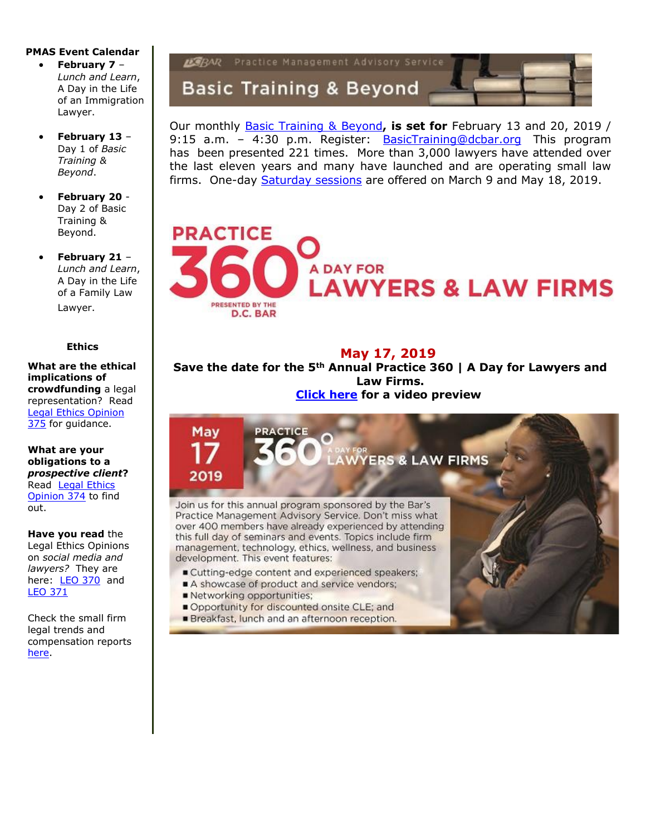#### **PMAS Event Calendar**

- **February 7** *Lunch and Learn*, A Day in the Life of an Immigration Lawyer.
- **February 13** Day 1 of *Basic Training & Beyond*.
- **February 20** Day 2 of Basic Training & Beyond.
- **February 21** *Lunch and Learn*, A Day in the Life of a Family Law Lawyer.

#### **Ethics**

**What are the ethical implications of crowdfunding** a legal representation? Read [Legal Ethics Opinion](http://www.mmsend31.com/link.cfm?r=Ng_MTS5ZsMbjM5R-T_-IwQ~~&pe=Xj3AcKVVP2qE0lLxVHtq74ibupCtQK9OkefA36rX9Dxiz1-wMkiv5QZgfRBz1FkpeNtvfQMS-m8worfcQVluJA~~&t=NC5L1yuIg3D3TLu-pPzruQ~~)  [375](http://www.mmsend31.com/link.cfm?r=Ng_MTS5ZsMbjM5R-T_-IwQ~~&pe=Xj3AcKVVP2qE0lLxVHtq74ibupCtQK9OkefA36rX9Dxiz1-wMkiv5QZgfRBz1FkpeNtvfQMS-m8worfcQVluJA~~&t=NC5L1yuIg3D3TLu-pPzruQ~~) for guidance.

**What are your obligations to a**  *prospective client***?** Read [Legal Ethics](http://www.mmsend31.com/link.cfm?r=Ng_MTS5ZsMbjM5R-T_-IwQ~~&pe=h4ACV8nx3Ct8sgUxZFbP7TdgdmrpDO0V7vDCC8NXnzhJe7p3SdEInJTIbcEbLwJYPflcuTvUtZIy6ZAHzp6SKA~~&t=NC5L1yuIg3D3TLu-pPzruQ~~)  [Opinion 374](http://www.mmsend31.com/link.cfm?r=Ng_MTS5ZsMbjM5R-T_-IwQ~~&pe=h4ACV8nx3Ct8sgUxZFbP7TdgdmrpDO0V7vDCC8NXnzhJe7p3SdEInJTIbcEbLwJYPflcuTvUtZIy6ZAHzp6SKA~~&t=NC5L1yuIg3D3TLu-pPzruQ~~) to find out.

**Have you read** the

Legal Ethics Opinions on *social media and lawyers?* They are here: [LEO 370](http://www.mmsend31.com/link.cfm?r=Ng_MTS5ZsMbjM5R-T_-IwQ~~&pe=FQPq0J9VpwnmdePrHoQkKI8lN6H6fmyW0mNQn0DB7IDCI3ZEH3zh3e1IjGV3X9363fZ_vocyOyLLKiOpOU7x5Q~~&t=NC5L1yuIg3D3TLu-pPzruQ~~) and [LEO 371](http://www.mmsend31.com/link.cfm?r=Ng_MTS5ZsMbjM5R-T_-IwQ~~&pe=z4wSrCD7hlZwgskKa7p1Y_BBLg_WuYwY1OArkR9rJDoYI2pYI9vlc58BdpNxwJBF8WQqnm9vM_SKlQ1X3cz6jA~~&t=NC5L1yuIg3D3TLu-pPzruQ~~)

Check the small firm legal trends and compensation reports [here.](http://www.mmsend31.com/link.cfm?r=Ng_MTS5ZsMbjM5R-T_-IwQ~~&pe=2hCchl6k8KD2YA2VrpsJ6mDva5joDJ2FuBc_8Y7gby9XSK4ATkF_nYy4OfQzSHg310Su7R5Ne48DIkbbyyf7lw~~&t=NC5L1yuIg3D3TLu-pPzruQ~~)



Our monthly [Basic Training & Beyond](http://www.mmsend31.com/link.cfm?r=Ng_MTS5ZsMbjM5R-T_-IwQ~~&pe=ajF008D1RtI0d-tqgaCarSpvpK6CwbJ7h09C_7gviks9ElJrGXJE8-VpBuXql1mzWm-G_ym94Mh9FmEgkncRLQ~~&t=NC5L1yuIg3D3TLu-pPzruQ~~)**, is set for** February 13 and 20, 2019 / 9:15 a.m. – 4:30 p.m. Register: [BasicTraining@dcbar.org](mailto:BasicTraining@dcbar.org) This program has been presented 221 times. More than 3,000 lawyers have attended over the last eleven years and many have launched and are operating small law firms. One-day [Saturday sessions](http://www.mmsend31.com/link.cfm?r=Ng_MTS5ZsMbjM5R-T_-IwQ~~&pe=_oZaejLwIRUt9pexAtRUf9KjRniTlsrHZz_q8RAMXWXEvJmd9xYzF1vQgkiFROGpLb6pxEHTgF158JXKWI-JzQ~~&t=NC5L1yuIg3D3TLu-pPzruQ~~) are offered on March 9 and May 18, 2019.



**May 17, 2019**

**Save the date for the 5th Annual Practice 360 | A Day for Lawyers and Law Firms. [Click here](http://www.mmsend31.com/link.cfm?r=Ng_MTS5ZsMbjM5R-T_-IwQ~~&pe=i73WQal8Bi70hIAhMqlvl9Oa4XFQAbB3NhVrVWGb6fB40ZDB1bqdxrpKYRyeixxz97iqrzf3ce284mqh7I1Jnw~~&t=NC5L1yuIg3D3TLu-pPzruQ~~) for a video preview**

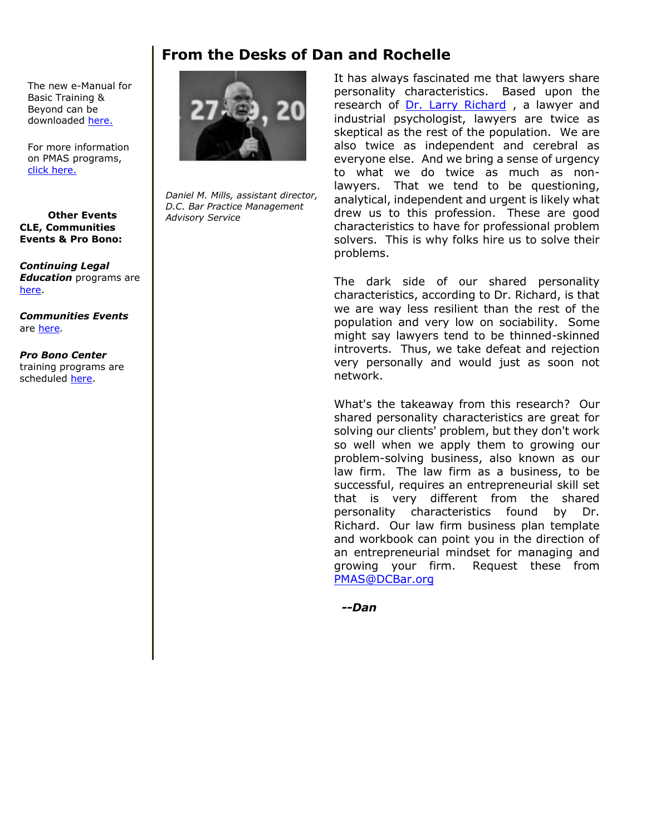# **From the Desks of Dan and Rochelle**

The new e-Manual for Basic Training & Beyond can be downloaded [here.](http://www.mmsend31.com/link.cfm?r=Ng_MTS5ZsMbjM5R-T_-IwQ~~&pe=Gso2-Y3xpQCloNAFURk2cUlRPUT1VfTJvavjyjzb1oI7dAf08zKp0FqvuzwNUMLypIXsyq7zTA4u1fjwMDeibw~~&t=NC5L1yuIg3D3TLu-pPzruQ~~)

For more information on PMAS programs, [click here.](http://www.mmsend31.com/link.cfm?r=Ng_MTS5ZsMbjM5R-T_-IwQ~~&pe=gG75nqi_CIhLZVQyYPKDJnuQXu3ViG0zWfA7WVaUzpJgcScdIVNR8iKPgrfepXoqmsRs30Uf-iba9aWh-RBB8Q~~&t=NC5L1yuIg3D3TLu-pPzruQ~~)

#### **Other Events CLE, Communities Events & Pro Bono:**

*Continuing Legal Education* programs are [here.](http://www.mmsend31.com/link.cfm?r=Ng_MTS5ZsMbjM5R-T_-IwQ~~&pe=JpHYs3JcaXwzLuISIlAUwHoKQN26ch2wnckBbZ24chKxHKN_XUydgX_uYHMjTh2Cc0y1rOH1m8C_vZAkh_Bovw~~&t=NC5L1yuIg3D3TLu-pPzruQ~~)

*Communities Events*  are [here](http://www.mmsend31.com/link.cfm?r=Ng_MTS5ZsMbjM5R-T_-IwQ~~&pe=zeRv4og3l3Z896FT_Wucs_nwtH0tLKgU0UUoo7txPWbqdekmFVtO41i70wcX689KhsE_1ZjHn2cy4JvLH3V09A~~&t=NC5L1yuIg3D3TLu-pPzruQ~~)*.*

*Pro Bono Center*  training programs are scheduled [here.](http://www.mmsend31.com/link.cfm?r=Ng_MTS5ZsMbjM5R-T_-IwQ~~&pe=fb3zDZL7etZ8xVOTCz1WV2rmNjrmhuSmPdpzz4Ofr-eJKWgdVpSvhz_l-P7iCcDjc8XHbzLAlSbYneQt4MBJow~~&t=NC5L1yuIg3D3TLu-pPzruQ~~)



*Daniel M. Mills, assistant director, D.C. Bar Practice Management Advisory Service*

It has always fascinated me that lawyers share personality characteristics. Based upon the research of [Dr. Larry Richard](http://www.mmsend31.com/link.cfm?r=Ng_MTS5ZsMbjM5R-T_-IwQ~~&pe=wmc4eclqLJSuBUrxVrtzlDkTKeX44peb45CQLAwT-s9I34LaqFxovP8_v_uOxXyX-JqDkMA8RB5DxPDt7HTZrQ~~&t=NC5L1yuIg3D3TLu-pPzruQ~~) , a lawyer and industrial psychologist, lawyers are twice as skeptical as the rest of the population. We are also twice as independent and cerebral as everyone else. And we bring a sense of urgency to what we do twice as much as nonlawyers. That we tend to be questioning, analytical, independent and urgent is likely what drew us to this profession. These are good characteristics to have for professional problem solvers. This is why folks hire us to solve their problems.

The dark side of our shared personality characteristics, according to Dr. Richard, is that we are way less resilient than the rest of the population and very low on sociability. Some might say lawyers tend to be thinned-skinned introverts. Thus, we take defeat and rejection very personally and would just as soon not network.

What's the takeaway from this research? Our shared personality characteristics are great for solving our clients' problem, but they don't work so well when we apply them to growing our problem-solving business, also known as our law firm. The law firm as a business, to be successful, requires an entrepreneurial skill set that is very different from the shared personality characteristics found by Dr. Richard. Our law firm business plan template and workbook can point you in the direction of an entrepreneurial mindset for managing and growing your firm. Request these from [PMAS@DCBar.org](mailto:PMAS@DCBar.org)

*--Dan*